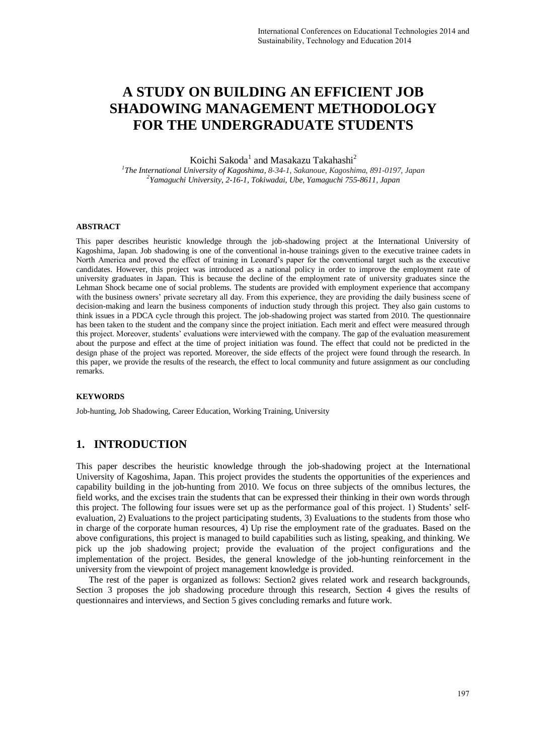# **A STUDY ON BUILDING AN EFFICIENT JOB SHADOWING MANAGEMENT METHODOLOGY FOR THE UNDERGRADUATE STUDENTS**

Koichi Sakoda<sup>1</sup> and Masakazu Takahashi<sup>2</sup>

*1 The International University of Kagoshima, 8-34-1, Sakanoue, Kagoshima, 891-0197, Japan 2 Yamaguchi University, 2-16-1, Tokiwadai, Ube, Yamaguchi 755-8611, Japan* 

#### **ABSTRACT**

This paper describes heuristic knowledge through the job-shadowing project at the International University of Kagoshima, Japan. Job shadowing is one of the conventional in-house trainings given to the executive trainee cadets in North America and proved the effect of training in Leonard's paper for the conventional target such as the executive candidates. However, this project was introduced as a national policy in order to improve the employment rate of university graduates in Japan. This is because the decline of the employment rate of university graduates since the Lehman Shock became one of social problems. The students are provided with employment experience that accompany with the business owners' private secretary all day. From this experience, they are providing the daily business scene of decision-making and learn the business components of induction study through this project. They also gain customs to think issues in a PDCA cycle through this project. The job-shadowing project was started from 2010. The questionnaire has been taken to the student and the company since the project initiation. Each merit and effect were measured through this project. Moreover, students' evaluations were interviewed with the company. The gap of the evaluation measurement about the purpose and effect at the time of project initiation was found. The effect that could not be predicted in the design phase of the project was reported. Moreover, the side effects of the project were found through the research. In this paper, we provide the results of the research, the effect to local community and future assignment as our concluding remarks.

#### **KEYWORDS**

Job-hunting, Job Shadowing, Career Education, Working Training, University

#### **1. INTRODUCTION**

This paper describes the heuristic knowledge through the job-shadowing project at the International University of Kagoshima, Japan. This project provides the students the opportunities of the experiences and capability building in the job-hunting from 2010. We focus on three subjects of the omnibus lectures, the field works, and the excises train the students that can be expressed their thinking in their own words through this project. The following four issues were set up as the performance goal of this project. 1) Students' selfevaluation, 2) Evaluations to the project participating students, 3) Evaluations to the students from those who in charge of the corporate human resources, 4) Up rise the employment rate of the graduates. Based on the above configurations, this project is managed to build capabilities such as listing, speaking, and thinking. We pick up the job shadowing project; provide the evaluation of the project configurations and the implementation of the project. Besides, the general knowledge of the job-hunting reinforcement in the university from the viewpoint of project management knowledge is provided.

The rest of the paper is organized as follows: Section2 gives related work and research backgrounds, Section 3 proposes the job shadowing procedure through this research, Section 4 gives the results of questionnaires and interviews, and Section 5 gives concluding remarks and future work.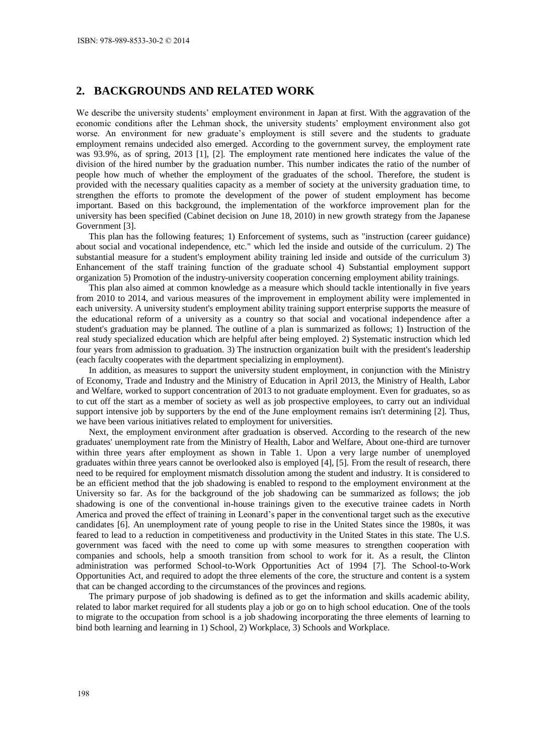## **2. BACKGROUNDS AND RELATED WORK**

We describe the university students' employment environment in Japan at first. With the aggravation of the economic conditions after the Lehman shock, the university students' employment environment also got worse. An environment for new graduate's employment is still severe and the students to graduate employment remains undecided also emerged. According to the government survey, the employment rate was 93.9%, as of spring, 2013 [1], [2]. The employment rate mentioned here indicates the value of the division of the hired number by the graduation number. This number indicates the ratio of the number of people how much of whether the employment of the graduates of the school. Therefore, the student is provided with the necessary qualities capacity as a member of society at the university graduation time, to strengthen the efforts to promote the development of the power of student employment has become important. Based on this background, the implementation of the workforce improvement plan for the university has been specified (Cabinet decision on June 18, 2010) in new growth strategy from the Japanese Government [3].

This plan has the following features; 1) Enforcement of systems, such as "instruction (career guidance) about social and vocational independence, etc." which led the inside and outside of the curriculum. 2) The substantial measure for a student's employment ability training led inside and outside of the curriculum 3) Enhancement of the staff training function of the graduate school 4) Substantial employment support organization 5) Promotion of the industry-university cooperation concerning employment ability trainings.

This plan also aimed at common knowledge as a measure which should tackle intentionally in five years from 2010 to 2014, and various measures of the improvement in employment ability were implemented in each university. A university student's employment ability training support enterprise supports the measure of the educational reform of a university as a country so that social and vocational independence after a student's graduation may be planned. The outline of a plan is summarized as follows; 1) Instruction of the real study specialized education which are helpful after being employed. 2) Systematic instruction which led four years from admission to graduation. 3) The instruction organization built with the president's leadership (each faculty cooperates with the department specializing in employment).

In addition, as measures to support the university student employment, in conjunction with the Ministry of Economy, Trade and Industry and the Ministry of Education in April 2013, the Ministry of Health, Labor and Welfare, worked to support concentration of 2013 to not graduate employment. Even for graduates, so as to cut off the start as a member of society as well as job prospective employees, to carry out an individual support intensive job by supporters by the end of the June employment remains isn't determining [2]. Thus, we have been various initiatives related to employment for universities.

Next, the employment environment after graduation is observed. According to the research of the new graduates' unemployment rate from the Ministry of Health, Labor and Welfare, About one-third are turnover within three years after employment as shown in Table 1. Upon a very large number of unemployed graduates within three years cannot be overlooked also is employed [4], [5]. From the result of research, there need to be required for employment mismatch dissolution among the student and industry. It is considered to be an efficient method that the job shadowing is enabled to respond to the employment environment at the University so far. As for the background of the job shadowing can be summarized as follows; the job shadowing is one of the conventional in-house trainings given to the executive trainee cadets in North America and proved the effect of training in Leonard's paper in the conventional target such as the executive candidates [6]. An unemployment rate of young people to rise in the United States since the 1980s, it was feared to lead to a reduction in competitiveness and productivity in the United States in this state. The U.S. government was faced with the need to come up with some measures to strengthen cooperation with companies and schools, help a smooth transition from school to work for it. As a result, the Clinton administration was performed School-to-Work Opportunities Act of 1994 [7]. The School-to-Work Opportunities Act, and required to adopt the three elements of the core, the structure and content is a system that can be changed according to the circumstances of the provinces and regions.

The primary purpose of job shadowing is defined as to get the information and skills academic ability, related to labor market required for all students play a job or go on to high school education. One of the tools to migrate to the occupation from school is a job shadowing incorporating the three elements of learning to bind both learning and learning in 1) School, 2) Workplace, 3) Schools and Workplace.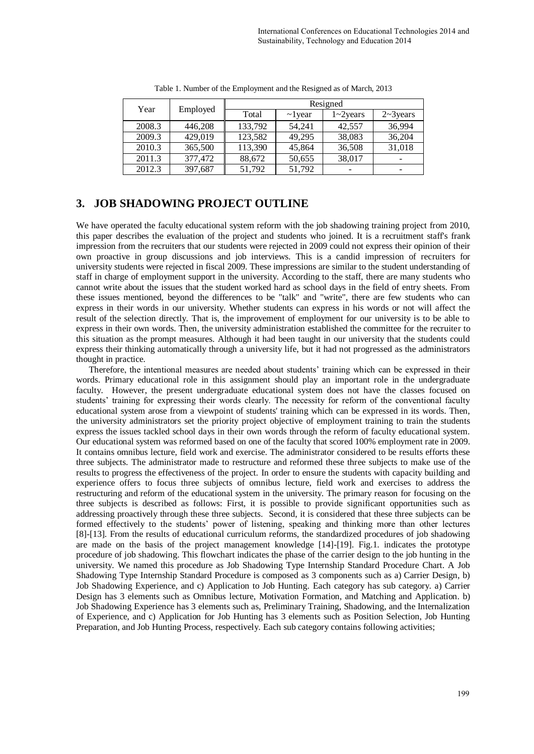| Year   | Employed | Resigned |               |                  |                  |  |  |
|--------|----------|----------|---------------|------------------|------------------|--|--|
|        |          | Total    | $\sim$ l year | $1 \sim 2$ years | $2 \sim 3$ years |  |  |
| 2008.3 | 446,208  | 133,792  | 54,241        | 42,557           | 36,994           |  |  |
| 2009.3 | 429,019  | 123,582  | 49,295        | 38,083           | 36,204           |  |  |
| 2010.3 | 365,500  | 113,390  | 45,864        | 36,508           | 31,018           |  |  |
| 2011.3 | 377,472  | 88,672   | 50,655        | 38,017           |                  |  |  |
| 2012.3 | 397,687  | 51,792   | 51,792        |                  |                  |  |  |

Table 1. Number of the Employment and the Resigned as of March, 2013

## **3. JOB SHADOWING PROJECT OUTLINE**

We have operated the faculty educational system reform with the job shadowing training project from 2010, this paper describes the evaluation of the project and students who joined. It is a recruitment staff's frank impression from the recruiters that our students were rejected in 2009 could not express their opinion of their own proactive in group discussions and job interviews. This is a candid impression of recruiters for university students were rejected in fiscal 2009. These impressions are similar to the student understanding of staff in charge of employment support in the university. According to the staff, there are many students who cannot write about the issues that the student worked hard as school days in the field of entry sheets. From these issues mentioned, beyond the differences to be "talk" and "write", there are few students who can express in their words in our university. Whether students can express in his words or not will affect the result of the selection directly. That is, the improvement of employment for our university is to be able to express in their own words. Then, the university administration established the committee for the recruiter to this situation as the prompt measures. Although it had been taught in our university that the students could express their thinking automatically through a university life, but it had not progressed as the administrators thought in practice.

Therefore, the intentional measures are needed about students' training which can be expressed in their words. Primary educational role in this assignment should play an important role in the undergraduate faculty. However, the present undergraduate educational system does not have the classes focused on students' training for expressing their words clearly. The necessity for reform of the conventional faculty educational system arose from a viewpoint of students' training which can be expressed in its words. Then, the university administrators set the priority project objective of employment training to train the students express the issues tackled school days in their own words through the reform of faculty educational system. Our educational system was reformed based on one of the faculty that scored 100% employment rate in 2009. It contains omnibus lecture, field work and exercise. The administrator considered to be results efforts these three subjects. The administrator made to restructure and reformed these three subjects to make use of the results to progress the effectiveness of the project. In order to ensure the students with capacity building and experience offers to focus three subjects of omnibus lecture, field work and exercises to address the restructuring and reform of the educational system in the university. The primary reason for focusing on the three subjects is described as follows: First, it is possible to provide significant opportunities such as addressing proactively through these three subjects. Second, it is considered that these three subjects can be formed effectively to the students' power of listening, speaking and thinking more than other lectures [8]-[13]. From the results of educational curriculum reforms, the standardized procedures of job shadowing are made on the basis of the project management knowledge [14]-[19]. Fig.1. indicates the prototype procedure of job shadowing. This flowchart indicates the phase of the carrier design to the job hunting in the university. We named this procedure as Job Shadowing Type Internship Standard Procedure Chart. A Job Shadowing Type Internship Standard Procedure is composed as 3 components such as a) Carrier Design, b) Job Shadowing Experience, and c) Application to Job Hunting. Each category has sub category. a) Carrier Design has 3 elements such as Omnibus lecture, Motivation Formation, and Matching and Application. b) Job Shadowing Experience has 3 elements such as, Preliminary Training, Shadowing, and the Internalization of Experience, and c) Application for Job Hunting has 3 elements such as Position Selection, Job Hunting Preparation, and Job Hunting Process, respectively. Each sub category contains following activities;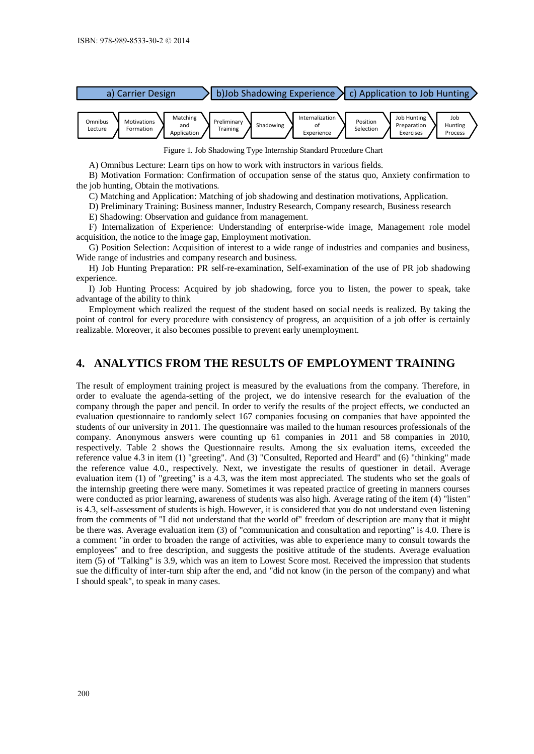

Figure 1. Job Shadowing Type Internship Standard Procedure Chart

A) Omnibus Lecture: Learn tips on how to work with instructors in various fields.

B) Motivation Formation: Confirmation of occupation sense of the status quo, Anxiety confirmation to the job hunting, Obtain the motivations.

C) Matching and Application: Matching of job shadowing and destination motivations, Application.

D) Preliminary Training: Business manner, Industry Research, Company research, Business research

E) Shadowing: Observation and guidance from management.

F) Internalization of Experience: Understanding of enterprise-wide image, Management role model acquisition, the notice to the image gap, Employment motivation.

G) Position Selection: Acquisition of interest to a wide range of industries and companies and business, Wide range of industries and company research and business.

H) Job Hunting Preparation: PR self-re-examination, Self-examination of the use of PR job shadowing experience.

I) Job Hunting Process: Acquired by job shadowing, force you to listen, the power to speak, take advantage of the ability to think

Employment which realized the request of the student based on social needs is realized. By taking the point of control for every procedure with consistency of progress, an acquisition of a job offer is certainly realizable. Moreover, it also becomes possible to prevent early unemployment.

### **4. ANALYTICS FROM THE RESULTS OF EMPLOYMENT TRAINING**

The result of employment training project is measured by the evaluations from the company. Therefore, in order to evaluate the agenda-setting of the project, we do intensive research for the evaluation of the company through the paper and pencil. In order to verify the results of the project effects, we conducted an evaluation questionnaire to randomly select 167 companies focusing on companies that have appointed the students of our university in 2011. The questionnaire was mailed to the human resources professionals of the company. Anonymous answers were counting up 61 companies in 2011 and 58 companies in 2010, respectively. Table 2 shows the Questionnaire results. Among the six evaluation items, exceeded the reference value 4.3 in item (1) "greeting". And (3) "Consulted, Reported and Heard" and (6) "thinking" made the reference value 4.0., respectively. Next, we investigate the results of questioner in detail. Average evaluation item (1) of "greeting" is a 4.3, was the item most appreciated. The students who set the goals of the internship greeting there were many. Sometimes it was repeated practice of greeting in manners courses were conducted as prior learning, awareness of students was also high. Average rating of the item (4) "listen" is 4.3, self-assessment of students is high. However, it is considered that you do not understand even listening from the comments of "I did not understand that the world of" freedom of description are many that it might be there was. Average evaluation item (3) of "communication and consultation and reporting" is 4.0. There is a comment "in order to broaden the range of activities, was able to experience many to consult towards the employees" and to free description, and suggests the positive attitude of the students. Average evaluation item (5) of "Talking" is 3.9, which was an item to Lowest Score most. Received the impression that students sue the difficulty of inter-turn ship after the end, and "did not know (in the person of the company) and what I should speak", to speak in many cases.